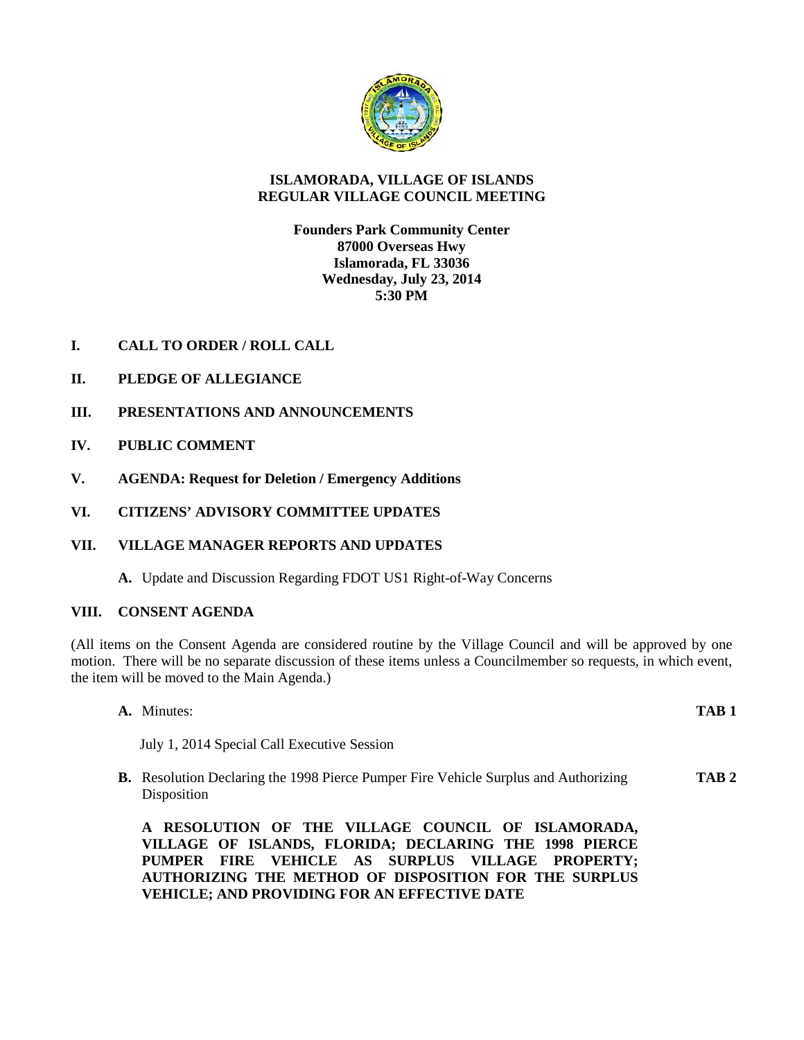

# **ISLAMORADA, VILLAGE OF ISLANDS REGULAR VILLAGE COUNCIL MEETING**

**Founders Park Community Center 87000 Overseas Hwy Islamorada, FL 33036 Wednesday, July 23, 2014 5:30 PM**

- **I. CALL TO ORDER / ROLL CALL**
- **II. PLEDGE OF ALLEGIANCE**
- **III. PRESENTATIONS AND ANNOUNCEMENTS**
- **IV. PUBLIC COMMENT**
- **V. AGENDA: Request for Deletion / Emergency Additions**
- **VI. CITIZENS' ADVISORY COMMITTEE UPDATES**
- **VII. VILLAGE MANAGER REPORTS AND UPDATES**
	- **A.** Update and Discussion Regarding FDOT US1 Right-of-Way Concerns

# **VIII. CONSENT AGENDA**

(All items on the Consent Agenda are considered routine by the Village Council and will be approved by one motion. There will be no separate discussion of these items unless a Councilmember so requests, in which event, the item will be moved to the Main Agenda.)

| A. Minutes:                                                                                                     | TAB <sub>1</sub> |
|-----------------------------------------------------------------------------------------------------------------|------------------|
| July 1, 2014 Special Call Executive Session                                                                     |                  |
| <b>B.</b> Resolution Declaring the 1998 Pierce Pumper Fire Vehicle Surplus and Authorizing<br>Disposition       | TAB <sub>2</sub> |
| RESOLUTION OF THE VILLAGE COUNCIL OF ISLAMORADA,<br>A<br>VILLAGE OF ISLANDS, FLORIDA; DECLARING THE 1998 PIERCE |                  |

**VILLAGE OF ISLANDS, FLORIDA; DECLARING THE 1998 PIERCE PUMPER FIRE VEHICLE AS SURPLUS VILLAGE PROPERTY; AUTHORIZING THE METHOD OF DISPOSITION FOR THE SURPLUS VEHICLE; AND PROVIDING FOR AN EFFECTIVE DATE**